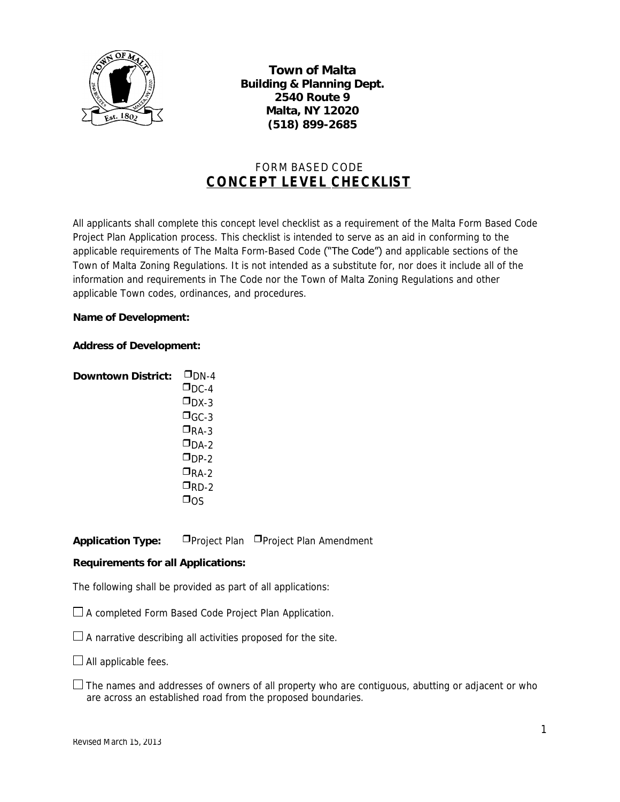

**Town of Malta Building & Planning Dept. 2540 Route 9 Malta, NY 12020 (518) 899-2685**

# FORM BASED CODE *CONCEPT LEVEL CHECKLIST*

All applicants shall complete this concept level checklist as a requirement of the Malta Form Based Code Project Plan Application process. This checklist is intended to serve as an aid in conforming to the applicable requirements of The Malta Form-Based Code ("The Code") and applicable sections of the Town of Malta Zoning Regulations. It is not intended as a substitute for, nor does it include all of the information and requirements in The Code nor the Town of Malta Zoning Regulations and other applicable Town codes, ordinances, and procedures.

#### **Name of Development:**

#### **Address of Development:**

| Downtown District: | $\square$ DN-4          |
|--------------------|-------------------------|
|                    | $\square_{\text{DC-4}}$ |
|                    | $\square_{\text{DX-3}}$ |
|                    | $\square$ GC-3          |
|                    | $\square$ RA-3          |
|                    | $\square$ DA-2          |
|                    | $\square$ DP-2          |
|                    | $\square$ RA-2          |
|                    | $\square$ RD-2          |
|                    | א∩כ                     |

**Application Type:** Project Plan Project Plan Amendment

### **Requirements for all Applications:**

*The following shall be provided as part of all applications:*

 $\Box$  A completed Form Based Code Project Plan Application.

 $\Box$  A narrative describing all activities proposed for the site.

 $\Box$  All applicable fees.

 $\Box$  The names and addresses of owners of all property who are contiguous, abutting or adjacent or who are across an established road from the proposed boundaries.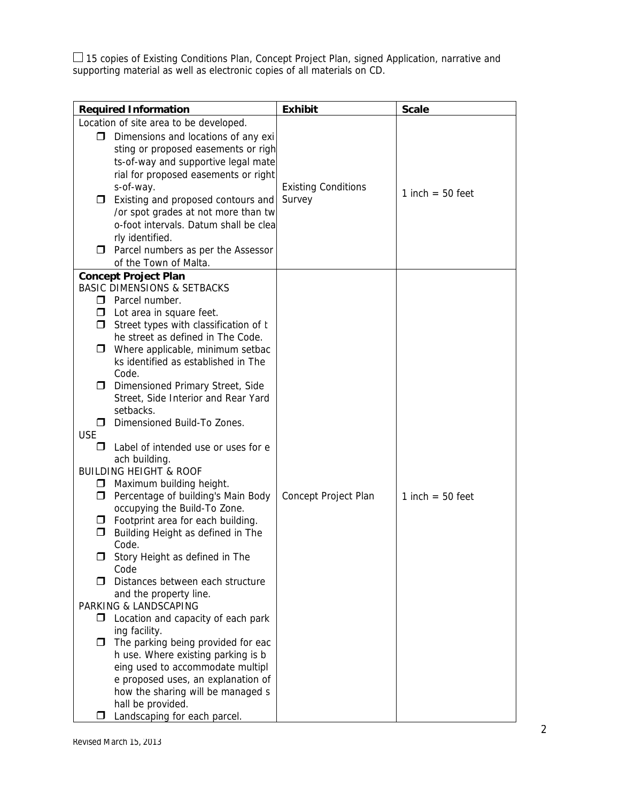15 copies of Existing Conditions Plan, Concept Project Plan, signed Application, narrative and supporting material as well as electronic copies of all materials on CD.

| <b>Required Information</b>                                                                                                                                                                                                                                                                                                                                                                                                                                                                                                                                                                                                                                                                                                                                                                                                                                                                                                                                                                                                                                                                                                                                                                                                                                       | <b>Exhibit</b>                       | <b>Scale</b>       |
|-------------------------------------------------------------------------------------------------------------------------------------------------------------------------------------------------------------------------------------------------------------------------------------------------------------------------------------------------------------------------------------------------------------------------------------------------------------------------------------------------------------------------------------------------------------------------------------------------------------------------------------------------------------------------------------------------------------------------------------------------------------------------------------------------------------------------------------------------------------------------------------------------------------------------------------------------------------------------------------------------------------------------------------------------------------------------------------------------------------------------------------------------------------------------------------------------------------------------------------------------------------------|--------------------------------------|--------------------|
| Location of site area to be developed.                                                                                                                                                                                                                                                                                                                                                                                                                                                                                                                                                                                                                                                                                                                                                                                                                                                                                                                                                                                                                                                                                                                                                                                                                            |                                      |                    |
| Dimensions and locations of any exi<br>□<br>sting or proposed easements or righ<br>ts-of-way and supportive legal mate<br>rial for proposed easements or right<br>s-of-way.<br>$\Box$ Existing and proposed contours and<br>/or spot grades at not more than tw<br>o-foot intervals. Datum shall be clea<br>rly identified.<br>$\Box$ Parcel numbers as per the Assessor                                                                                                                                                                                                                                                                                                                                                                                                                                                                                                                                                                                                                                                                                                                                                                                                                                                                                          | <b>Existing Conditions</b><br>Survey | 1 inch $=$ 50 feet |
| of the Town of Malta.                                                                                                                                                                                                                                                                                                                                                                                                                                                                                                                                                                                                                                                                                                                                                                                                                                                                                                                                                                                                                                                                                                                                                                                                                                             |                                      |                    |
| <b>Concept Project Plan</b><br><b>BASIC DIMENSIONS &amp; SETBACKS</b><br>$\Box$ Parcel number.<br>$\Box$ Lot area in square feet.<br>$\Box$ Street types with classification of t<br>he street as defined in The Code.<br>Where applicable, minimum setbac<br>$\Box$<br>ks identified as established in The<br>Code.<br>Dimensioned Primary Street, Side<br>□<br>Street, Side Interior and Rear Yard<br>setbacks.<br>Dimensioned Build-To Zones.<br>$\Box$<br><b>USE</b><br>Label of intended use or uses for e<br>П<br>ach building.<br><b>BUILDING HEIGHT &amp; ROOF</b><br>Maximum building height.<br>$\Box$<br>Percentage of building's Main Body<br>$\Box$<br>occupying the Build-To Zone.<br>$\Box$ Footprint area for each building.<br>Building Height as defined in The<br>□<br>Code.<br>Story Height as defined in The<br>Code<br>Distances between each structure<br>П.<br>and the property line.<br>PARKING & LANDSCAPING<br>Location and capacity of each park<br>□<br>ing facility.<br>The parking being provided for eac<br>$\Box$<br>h use. Where existing parking is b<br>eing used to accommodate multipl<br>e proposed uses, an explanation of<br>how the sharing will be managed s<br>hall be provided.<br>Landscaping for each parcel.<br>П | Concept Project Plan                 | 1 inch $=$ 50 feet |